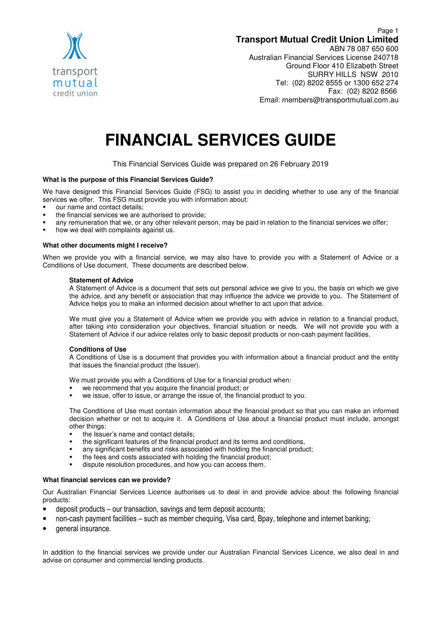

## Page 1 **Transport Mutual Credit Union Limited** ABN 78 087 650 600 Australian Financial Services License 240718 Ground Floor 410 Elizabeth Street SURRY HILLS NSW 2010 Tel: (02) 8202 8555 or 1300 652 274 Fax: (02) 8202 8566 Email: members@transportmutual.com.au

# **FINANCIAL SERVICES GUIDE**

This Financial Services Guide was prepared on 26 February 2019

## **What is the purpose of this Financial Services Guide?**

We have designed this Financial Services Guide (FSG) to assist you in deciding whether to use any of the financial services we offer. This FSG must provide you with information about:

- our name and contact details;
- the financial services we are authorised to provide;
- any remuneration that we, or any other relevant person, may be paid in relation to the financial services we offer;
- how we deal with complaints against us.

## **What other documents might I receive?**

When we provide you with a financial service, we may also have to provide you with a Statement of Advice or a Conditions of Use document. These documents are described below.

#### **Statement of Advice**

A Statement of Advice is a document that sets out personal advice we give to you, the basis on which we give the advice, and any benefit or association that may influence the advice we provide to you. The Statement of Advice helps you to make an informed decision about whether to act upon that advice.

We must give you a Statement of Advice when we provide you with advice in relation to a financial product, after taking into consideration your objectives, financial situation or needs. We will not provide you with a Statement of Advice if our advice relates only to basic deposit products or non-cash payment facilities.

## **Conditions of Use**

A Conditions of Use is a document that provides you with information about a financial product and the entity that issues the financial product (the Issuer).

We must provide you with a Conditions of Use for a financial product when:

- we recommend that you acquire the financial product; or
- we issue, offer to issue, or arrange the issue of, the financial product to you.

The Conditions of Use must contain information about the financial product so that you can make an informed decision whether or not to acquire it. A Conditions of Use about a financial product must include, amongst other things:

- the Issuer's name and contact details;
- the significant features of the financial product and its terms and conditions,
- any significant benefits and risks associated with holding the financial product;
- the fees and costs associated with holding the financial product;
- dispute resolution procedures, and how you can access them.

## **What financial services can we provide?**

Our Australian Financial Services Licence authorises us to deal in and provide advice about the following financial products:

- deposit products our transaction, savings and term deposit accounts;
- non-cash payment facilities such as member chequing, Visa card, Bpay, telephone and internet banking;
- general insurance.

In addition to the financial services we provide under our Australian Financial Services Licence, we also deal in and advise on consumer and commercial lending products.